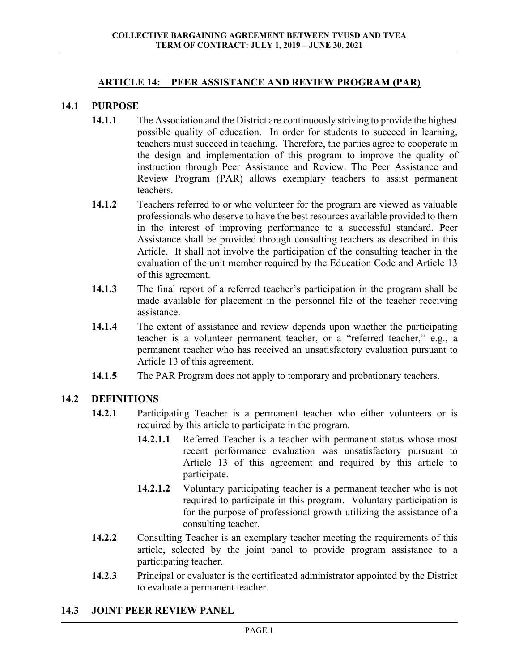#### **ARTICLE 14: PEER ASSISTANCE AND REVIEW PROGRAM (PAR)**

#### **14.1 PURPOSE**

- **14.1.1** The Association and the District are continuously striving to provide the highest possible quality of education. In order for students to succeed in learning, teachers must succeed in teaching. Therefore, the parties agree to cooperate in the design and implementation of this program to improve the quality of instruction through Peer Assistance and Review. The Peer Assistance and Review Program (PAR) allows exemplary teachers to assist permanent teachers.
- **14.1.2** Teachers referred to or who volunteer for the program are viewed as valuable professionals who deserve to have the best resources available provided to them in the interest of improving performance to a successful standard. Peer Assistance shall be provided through consulting teachers as described in this Article. It shall not involve the participation of the consulting teacher in the evaluation of the unit member required by the Education Code and Article 13 of this agreement.
- **14.1.3** The final report of a referred teacher's participation in the program shall be made available for placement in the personnel file of the teacher receiving assistance.
- **14.1.4** The extent of assistance and review depends upon whether the participating teacher is a volunteer permanent teacher, or a "referred teacher," e.g., a permanent teacher who has received an unsatisfactory evaluation pursuant to Article 13 of this agreement.
- **14.1.5** The PAR Program does not apply to temporary and probationary teachers.

## **14.2 DEFINITIONS**

- **14.2.1** Participating Teacher is a permanent teacher who either volunteers or is required by this article to participate in the program.
	- **14.2.1.1** Referred Teacher is a teacher with permanent status whose most recent performance evaluation was unsatisfactory pursuant to Article 13 of this agreement and required by this article to participate.
	- **14.2.1.2** Voluntary participating teacher is a permanent teacher who is not required to participate in this program. Voluntary participation is for the purpose of professional growth utilizing the assistance of a consulting teacher.
- **14.2.2** Consulting Teacher is an exemplary teacher meeting the requirements of this article, selected by the joint panel to provide program assistance to a participating teacher.
- **14.2.3** Principal or evaluator is the certificated administrator appointed by the District to evaluate a permanent teacher.

#### **14.3 JOINT PEER REVIEW PANEL**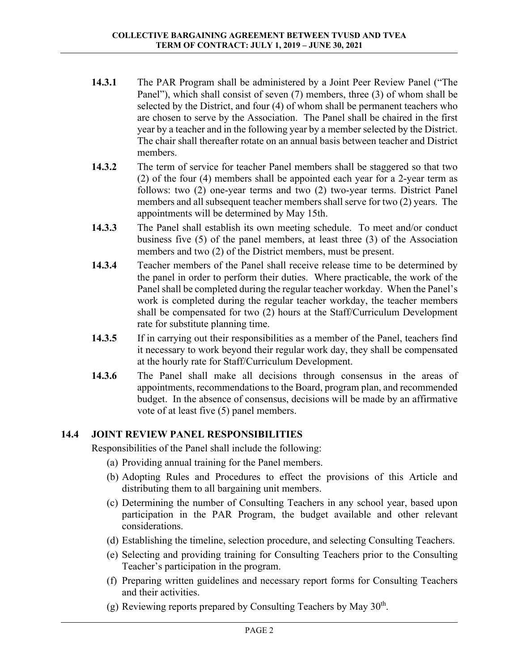- **14.3.1** The PAR Program shall be administered by a Joint Peer Review Panel ("The Panel"), which shall consist of seven (7) members, three (3) of whom shall be selected by the District, and four (4) of whom shall be permanent teachers who are chosen to serve by the Association. The Panel shall be chaired in the first year by a teacher and in the following year by a member selected by the District. The chair shall thereafter rotate on an annual basis between teacher and District members.
- **14.3.2** The term of service for teacher Panel members shall be staggered so that two (2) of the four (4) members shall be appointed each year for a 2-year term as follows: two (2) one-year terms and two (2) two-year terms. District Panel members and all subsequent teacher members shall serve for two (2) years. The appointments will be determined by May 15th.
- **14.3.3** The Panel shall establish its own meeting schedule. To meet and/or conduct business five (5) of the panel members, at least three (3) of the Association members and two (2) of the District members, must be present.
- **14.3.4** Teacher members of the Panel shall receive release time to be determined by the panel in order to perform their duties. Where practicable, the work of the Panel shall be completed during the regular teacher workday. When the Panel's work is completed during the regular teacher workday, the teacher members shall be compensated for two (2) hours at the Staff/Curriculum Development rate for substitute planning time.
- **14.3.5** If in carrying out their responsibilities as a member of the Panel, teachers find it necessary to work beyond their regular work day, they shall be compensated at the hourly rate for Staff/Curriculum Development.
- **14.3.6** The Panel shall make all decisions through consensus in the areas of appointments, recommendations to the Board, program plan, and recommended budget. In the absence of consensus, decisions will be made by an affirmative vote of at least five (5) panel members.

# **14.4 JOINT REVIEW PANEL RESPONSIBILITIES**

Responsibilities of the Panel shall include the following:

- (a) Providing annual training for the Panel members.
- (b) Adopting Rules and Procedures to effect the provisions of this Article and distributing them to all bargaining unit members.
- (c) Determining the number of Consulting Teachers in any school year, based upon participation in the PAR Program, the budget available and other relevant considerations.
- (d) Establishing the timeline, selection procedure, and selecting Consulting Teachers.
- (e) Selecting and providing training for Consulting Teachers prior to the Consulting Teacher's participation in the program.
- (f) Preparing written guidelines and necessary report forms for Consulting Teachers and their activities.
- (g) Reviewing reports prepared by Consulting Teachers by May  $30<sup>th</sup>$ .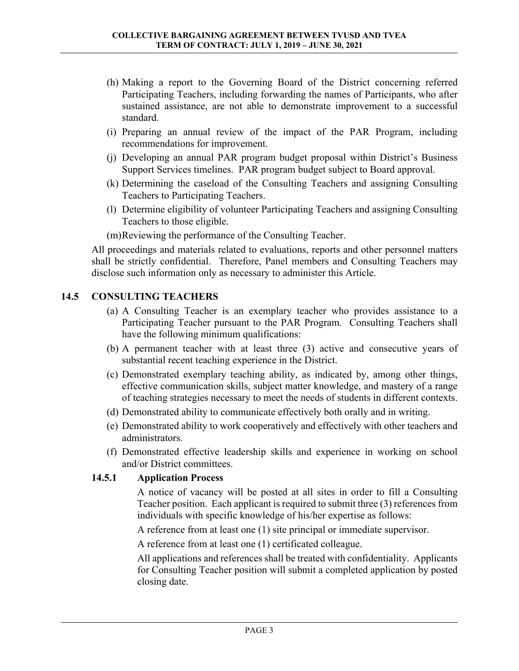- (h) Making a report to the Governing Board of the District concerning referred Participating Teachers, including forwarding the names of Participants, who after sustained assistance, are not able to demonstrate improvement to a successful standard.
- (i) Preparing an annual review of the impact of the PAR Program, including recommendations for improvement.
- (j) Developing an annual PAR program budget proposal within District's Business Support Services timelines. PAR program budget subject to Board approval.
- (k) Determining the caseload of the Consulting Teachers and assigning Consulting Teachers to Participating Teachers.
- (l) Determine eligibility of volunteer Participating Teachers and assigning Consulting Teachers to those eligible.

(m)Reviewing the performance of the Consulting Teacher.

All proceedings and materials related to evaluations, reports and other personnel matters shall be strictly confidential. Therefore, Panel members and Consulting Teachers may disclose such information only as necessary to administer this Article.

## **14.5 CONSULTING TEACHERS**

- (a) A Consulting Teacher is an exemplary teacher who provides assistance to a Participating Teacher pursuant to the PAR Program. Consulting Teachers shall have the following minimum qualifications:
- (b) A permanent teacher with at least three (3) active and consecutive years of substantial recent teaching experience in the District.
- (c) Demonstrated exemplary teaching ability, as indicated by, among other things, effective communication skills, subject matter knowledge, and mastery of a range of teaching strategies necessary to meet the needs of students in different contexts.
- (d) Demonstrated ability to communicate effectively both orally and in writing.
- (e) Demonstrated ability to work cooperatively and effectively with other teachers and administrators.
- (f) Demonstrated effective leadership skills and experience in working on school and/or District committees.

## **14.5.1 Application Process**

 A notice of vacancy will be posted at all sites in order to fill a Consulting Teacher position. Each applicant is required to submit three (3) references from individuals with specific knowledge of his/her expertise as follows:

A reference from at least one (1) site principal or immediate supervisor.

A reference from at least one (1) certificated colleague.

 All applications and references shall be treated with confidentiality. Applicants for Consulting Teacher position will submit a completed application by posted closing date.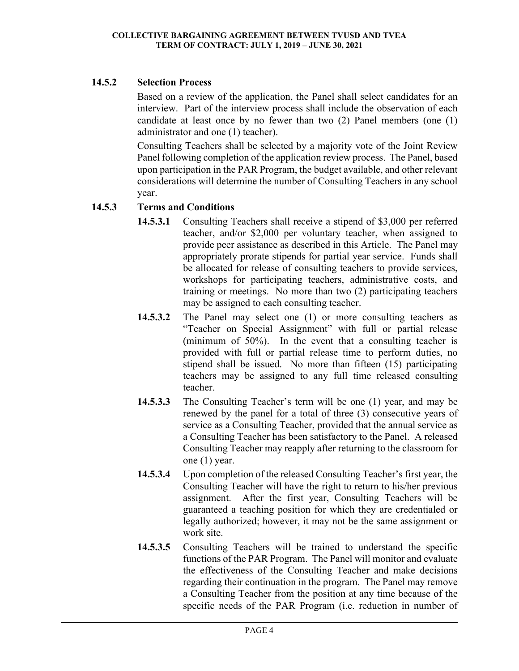## **14.5.2 Selection Process**

 Based on a review of the application, the Panel shall select candidates for an interview. Part of the interview process shall include the observation of each candidate at least once by no fewer than two (2) Panel members (one (1) administrator and one (1) teacher).

 Consulting Teachers shall be selected by a majority vote of the Joint Review Panel following completion of the application review process. The Panel, based upon participation in the PAR Program, the budget available, and other relevant considerations will determine the number of Consulting Teachers in any school year.

## **14.5.3 Terms and Conditions**

- **14.5.3.1** Consulting Teachers shall receive a stipend of \$3,000 per referred teacher, and/or \$2,000 per voluntary teacher, when assigned to provide peer assistance as described in this Article. The Panel may appropriately prorate stipends for partial year service. Funds shall be allocated for release of consulting teachers to provide services, workshops for participating teachers, administrative costs, and training or meetings. No more than two (2) participating teachers may be assigned to each consulting teacher.
- **14.5.3.2** The Panel may select one (1) or more consulting teachers as "Teacher on Special Assignment" with full or partial release (minimum of 50%). In the event that a consulting teacher is provided with full or partial release time to perform duties, no stipend shall be issued. No more than fifteen (15) participating teachers may be assigned to any full time released consulting teacher.
- **14.5.3.3** The Consulting Teacher's term will be one (1) year, and may be renewed by the panel for a total of three (3) consecutive years of service as a Consulting Teacher, provided that the annual service as a Consulting Teacher has been satisfactory to the Panel. A released Consulting Teacher may reapply after returning to the classroom for one (1) year.
- **14.5.3.4** Upon completion of the released Consulting Teacher's first year, the Consulting Teacher will have the right to return to his/her previous assignment. After the first year, Consulting Teachers will be guaranteed a teaching position for which they are credentialed or legally authorized; however, it may not be the same assignment or work site.
- **14.5.3.5** Consulting Teachers will be trained to understand the specific functions of the PAR Program. The Panel will monitor and evaluate the effectiveness of the Consulting Teacher and make decisions regarding their continuation in the program. The Panel may remove a Consulting Teacher from the position at any time because of the specific needs of the PAR Program (i.e. reduction in number of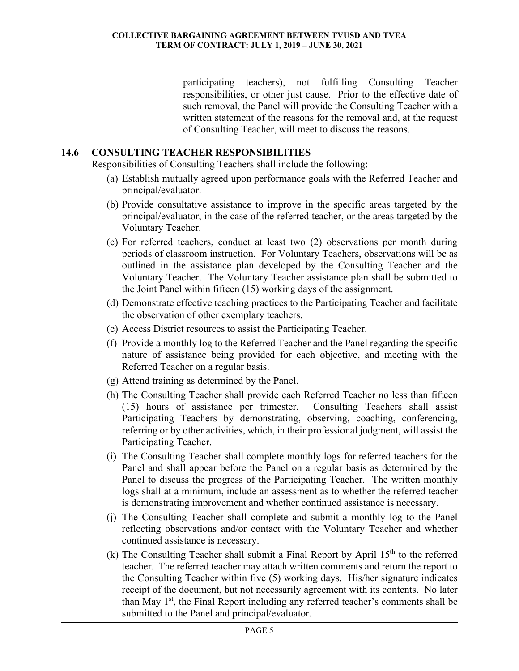participating teachers), not fulfilling Consulting Teacher responsibilities, or other just cause. Prior to the effective date of such removal, the Panel will provide the Consulting Teacher with a written statement of the reasons for the removal and, at the request of Consulting Teacher, will meet to discuss the reasons.

## **14.6 CONSULTING TEACHER RESPONSIBILITIES**

Responsibilities of Consulting Teachers shall include the following:

- (a) Establish mutually agreed upon performance goals with the Referred Teacher and principal/evaluator.
- (b) Provide consultative assistance to improve in the specific areas targeted by the principal/evaluator, in the case of the referred teacher, or the areas targeted by the Voluntary Teacher.
- (c) For referred teachers, conduct at least two (2) observations per month during periods of classroom instruction. For Voluntary Teachers, observations will be as outlined in the assistance plan developed by the Consulting Teacher and the Voluntary Teacher. The Voluntary Teacher assistance plan shall be submitted to the Joint Panel within fifteen (15) working days of the assignment.
- (d) Demonstrate effective teaching practices to the Participating Teacher and facilitate the observation of other exemplary teachers.
- (e) Access District resources to assist the Participating Teacher.
- (f) Provide a monthly log to the Referred Teacher and the Panel regarding the specific nature of assistance being provided for each objective, and meeting with the Referred Teacher on a regular basis.
- (g) Attend training as determined by the Panel.
- (h) The Consulting Teacher shall provide each Referred Teacher no less than fifteen (15) hours of assistance per trimester. Consulting Teachers shall assist Participating Teachers by demonstrating, observing, coaching, conferencing, referring or by other activities, which, in their professional judgment, will assist the Participating Teacher.
- (i) The Consulting Teacher shall complete monthly logs for referred teachers for the Panel and shall appear before the Panel on a regular basis as determined by the Panel to discuss the progress of the Participating Teacher. The written monthly logs shall at a minimum, include an assessment as to whether the referred teacher is demonstrating improvement and whether continued assistance is necessary.
- (j) The Consulting Teacher shall complete and submit a monthly log to the Panel reflecting observations and/or contact with the Voluntary Teacher and whether continued assistance is necessary.
- (k) The Consulting Teacher shall submit a Final Report by April  $15<sup>th</sup>$  to the referred teacher. The referred teacher may attach written comments and return the report to the Consulting Teacher within five (5) working days. His/her signature indicates receipt of the document, but not necessarily agreement with its contents. No later than May  $1<sup>st</sup>$ , the Final Report including any referred teacher's comments shall be submitted to the Panel and principal/evaluator.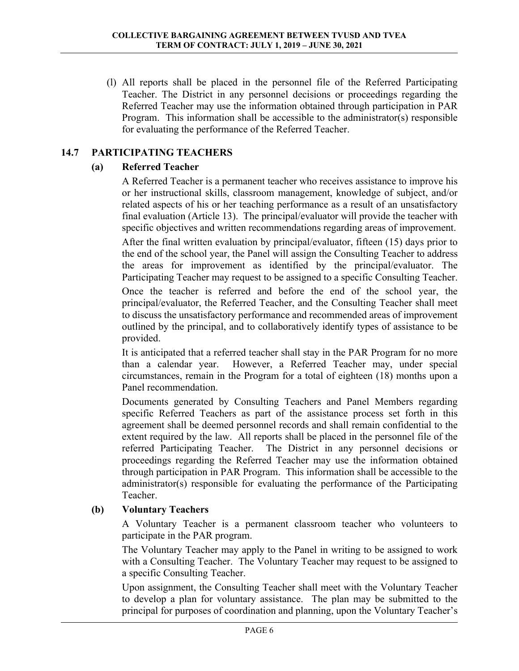(l) All reports shall be placed in the personnel file of the Referred Participating Teacher. The District in any personnel decisions or proceedings regarding the Referred Teacher may use the information obtained through participation in PAR Program. This information shall be accessible to the administrator(s) responsible for evaluating the performance of the Referred Teacher.

# **14.7 PARTICIPATING TEACHERS**

## **(a) Referred Teacher**

A Referred Teacher is a permanent teacher who receives assistance to improve his or her instructional skills, classroom management, knowledge of subject, and/or related aspects of his or her teaching performance as a result of an unsatisfactory final evaluation (Article 13). The principal/evaluator will provide the teacher with specific objectives and written recommendations regarding areas of improvement.

 After the final written evaluation by principal/evaluator, fifteen (15) days prior to the end of the school year, the Panel will assign the Consulting Teacher to address the areas for improvement as identified by the principal/evaluator. The Participating Teacher may request to be assigned to a specific Consulting Teacher.

 Once the teacher is referred and before the end of the school year, the principal/evaluator, the Referred Teacher, and the Consulting Teacher shall meet to discuss the unsatisfactory performance and recommended areas of improvement outlined by the principal, and to collaboratively identify types of assistance to be provided.

 It is anticipated that a referred teacher shall stay in the PAR Program for no more than a calendar year. However, a Referred Teacher may, under special circumstances, remain in the Program for a total of eighteen (18) months upon a Panel recommendation.

 Documents generated by Consulting Teachers and Panel Members regarding specific Referred Teachers as part of the assistance process set forth in this agreement shall be deemed personnel records and shall remain confidential to the extent required by the law. All reports shall be placed in the personnel file of the referred Participating Teacher. The District in any personnel decisions or proceedings regarding the Referred Teacher may use the information obtained through participation in PAR Program. This information shall be accessible to the administrator(s) responsible for evaluating the performance of the Participating Teacher.

# **(b) Voluntary Teachers**

 A Voluntary Teacher is a permanent classroom teacher who volunteers to participate in the PAR program.

 The Voluntary Teacher may apply to the Panel in writing to be assigned to work with a Consulting Teacher. The Voluntary Teacher may request to be assigned to a specific Consulting Teacher.

 Upon assignment, the Consulting Teacher shall meet with the Voluntary Teacher to develop a plan for voluntary assistance. The plan may be submitted to the principal for purposes of coordination and planning, upon the Voluntary Teacher's